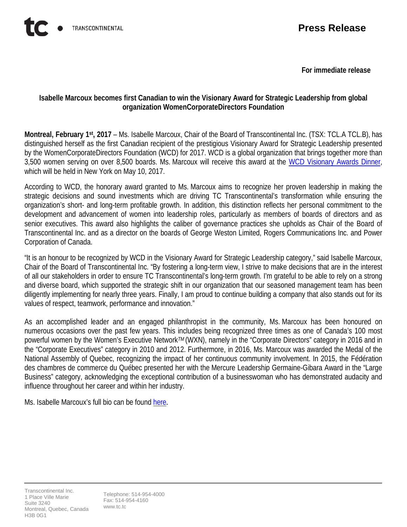**For immediate release**

## **Isabelle Marcoux becomes first Canadian to win the Visionary Award for Strategic Leadership from global organization WomenCorporateDirectors Foundation**

**Montreal, February 1st, 2017** – Ms. Isabelle Marcoux, Chair of the Board of Transcontinental Inc. (TSX: TCL.A TCL.B), has distinguished herself as the first Canadian recipient of the prestigious Visionary Award for Strategic Leadership presented by the WomenCorporateDirectors Foundation (WCD) for 2017. WCD is a global organization that brings together more than 3,500 women serving on over 8,500 boards. Ms. Marcoux will receive this award at the WCD [Visionary Awards Dinner,](http://www.womencorporatedirectors.com/page/_GlobalInstitute) which will be held in New York on May 10, 2017.

According to WCD, the honorary award granted to Ms. Marcoux aims to recognize her proven leadership in making the strategic decisions and sound investments which are driving TC Transcontinental's transformation while ensuring the organization's short- and long-term profitable growth. In addition, this distinction reflects her personal commitment to the development and advancement of women into leadership roles, particularly as members of boards of directors and as senior executives. This award also highlights the caliber of governance practices she upholds as Chair of the Board of Transcontinental Inc. and as a director on the boards of George Weston Limited, Rogers Communications Inc. and Power Corporation of Canada.

"It is an honour to be recognized by WCD in the Visionary Award for Strategic Leadership category," said Isabelle Marcoux, Chair of the Board of Transcontinental Inc. "By fostering a long-term view, I strive to make decisions that are in the interest of all our stakeholders in order to ensure TC Transcontinental's long-term growth. I'm grateful to be able to rely on a strong and diverse board, which supported the strategic shift in our organization that our seasoned management team has been diligently implementing for nearly three years. Finally, I am proud to continue building a company that also stands out for its values of respect, teamwork, performance and innovation."

As an accomplished leader and an engaged philanthropist in the community, Ms. Marcoux has been honoured on numerous occasions over the past few years. This includes being recognized three times as one of Canada's 100 most powerful women by the Women's Executive Network*TM* (WXN), namely in the "Corporate Directors" category in 2016 and in the "Corporate Executives" category in 2010 and 2012. Furthermore, in 2016, Ms. Marcoux was awarded the Medal of the National Assembly of Quebec, recognizing the impact of her continuous community involvement. In 2015, the Fédération des chambres de commerce du Québec presented her with the Mercure Leadership Germaine-Gibara Award in the "Large Business" category, acknowledging the exceptional contribution of a businesswoman who has demonstrated audacity and influence throughout her career and within her industry.

Ms. Isabelle Marcoux's full bio can be found [here](http://tctranscontinental.com/en/about/governance/isabelle-marcoux).